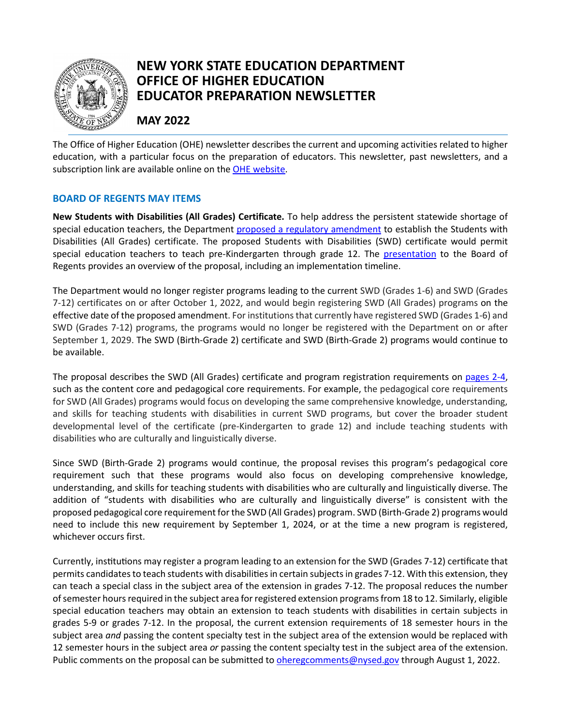

# **NEW YORK STATE EDUCATION DEPARTMENT OFFICE OF HIGHER EDUCATION EDUCATOR PREPARATION NEWSLETTER**

# **MAY 2022**

The Office of Higher Education (OHE) newsletter describes the current and upcoming activities related to higher education, with a particular focus on the preparation of educators. This newsletter, past newsletters, and a subscription link are available online on the [OHE website.](http://www.highered.nysed.gov/newsletter.html)

## **BOARD OF REGENTS MAY ITEMS**

**New Students with Disabilities (All Grades) Certificate.** To help address the persistent statewide shortage of special education teachers, the Department [proposed a regulatory amendment](https://www.regents.nysed.gov/common/regents/files/522hep12d1.pdf) to establish the Students with Disabilities (All Grades) certificate. The proposed Students with Disabilities (SWD) certificate would permit special education teachers to teach pre-Kindergarten through grade 12. The [presentation](https://www.regents.nysed.gov/common/regents/files/HE-P12%20-%20Proposed%20Students%20with%20Disabilities%20%28All%20Grades%29%20Certificate.pdf) to the Board of Regents provides an overview of the proposal, including an implementation timeline.

The Department would no longer register programs leading to the current SWD (Grades 1-6) and SWD (Grades 7-12) certificates on or after October 1, 2022, and would begin registering SWD (All Grades) programs on the effective date of the proposed amendment. For institutions that currently have registered SWD (Grades 1-6) and SWD (Grades 7-12) programs, the programs would no longer be registered with the Department on or after September 1, 2029. The SWD (Birth-Grade 2) certificate and SWD (Birth-Grade 2) programs would continue to be available.

The proposal describes the SWD (All Grades) certificate and program registration requirements on [pages 2-4,](https://www.regents.nysed.gov/common/regents/files/522hep12d1.pdf) such as the content core and pedagogical core requirements. For example, the pedagogical core requirements for SWD (All Grades) programs would focus on developing the same comprehensive knowledge, understanding, and skills for teaching students with disabilities in current SWD programs, but cover the broader student developmental level of the certificate (pre-Kindergarten to grade 12) and include teaching students with disabilities who are culturally and linguistically diverse.

Since SWD (Birth-Grade 2) programs would continue, the proposal revises this program's pedagogical core requirement such that these programs would also focus on developing comprehensive knowledge, understanding, and skills for teaching students with disabilities who are culturally and linguistically diverse. The addition of "students with disabilities who are culturally and linguistically diverse" is consistent with the proposed pedagogical core requirement for the SWD (All Grades) program. SWD (Birth-Grade 2) programs would need to include this new requirement by September 1, 2024, or at the time a new program is registered, whichever occurs first.

Currently, institutions may register a program leading to an extension for the SWD (Grades 7-12) certificate that permits candidates to teach students with disabilities in certain subjects in grades 7-12. With this extension, they can teach a special class in the subject area of the extension in grades 7-12. The proposal reduces the number of semester hours required in the subject area forregistered extension programs from 18 to 12. Similarly, eligible special education teachers may obtain an extension to teach students with disabilities in certain subjects in grades 5-9 or grades 7-12. In the proposal, the current extension requirements of 18 semester hours in the subject area *and* passing the content specialty test in the subject area of the extension would be replaced with 12 semester hours in the subject area *or* passing the content specialty test in the subject area of the extension. Public comments on the proposal can be submitted to *oheregcomments@nysed.gov* through August 1, 2022.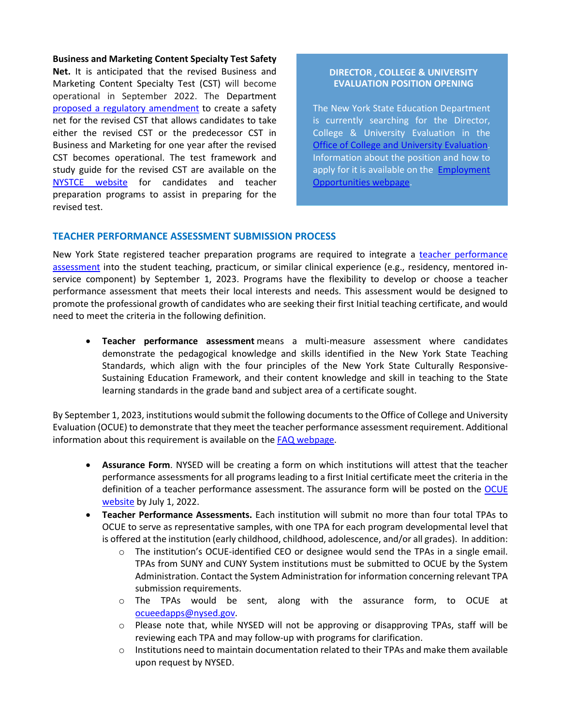**Business and Marketing Content Specialty Test Safety Net.** It is anticipated that the revised Business and Marketing Content Specialty Test (CST) will become operational in September 2022. The Department [proposed a regulatory amendment](https://www.regents.nysed.gov/common/regents/files/522hed1.pdf) to create a safety net for the revised CST that allows candidates to take either the revised CST or the predecessor CST in Business and Marketing for one year after the revised CST becomes operational. The test framework and study guide for the revised CST are available on the [NYSTCE website](http://www.nystce.nesinc.com/TestView.aspx?f=HTML_FRAG/NY168_PrepMaterials.html) for candidates and teacher preparation programs to assist in preparing for the revised test.

#### **DIRECTOR , COLLEGE & UNIVERSITY EVALUATION POSITION OPENING**

The New York State Education Department is currently searching for the Director, College & University Evaluation in the [Office of College and University Evaluation.](http://www.nysed.gov/college-university-evaluation) Information about the position and how to apply for it is available on the **Employment** [Opportunities webpage.](http://www.nysed.gov/hr/employment/director-college-university-evaluation-1652367621)

### **TEACHER PERFORMANCE ASSESSMENT SUBMISSION PROCESS**

New York State registered teacher preparation programs are required to integrate a teacher performance [assessment](https://www.regents.nysed.gov/common/regents/files/422brca6.pdf) into the student teaching, practicum, or similar clinical experience (e.g., residency, mentored inservice component) by September 1, 2023. Programs have the flexibility to develop or choose a teacher performance assessment that meets their local interests and needs. This assessment would be designed to promote the professional growth of candidates who are seeking their first Initial teaching certificate, and would need to meet the criteria in the following definition.

• **Teacher performance assessment** means a multi-measure assessment where candidates demonstrate the pedagogical knowledge and skills identified in the New York State Teaching Standards, which align with the four principles of the New York State Culturally Responsive-Sustaining Education Framework, and their content knowledge and skill in teaching to the State learning standards in the grade band and subject area of a certificate sought.

By September 1, 2023, institutions would submit the following documents to the Office of College and University Evaluation (OCUE) to demonstrate that they meet the teacher performance assessment requirement. Additional information about this requirement is available on th[e FAQ webpage.](http://www.highered.nysed.gov/tcert/certificate/tpa-proposal-faqs.html)

- **Assurance Form**. NYSED will be creating a form on which institutions will attest that the teacher performance assessments for all programs leading to a first Initial certificate meet the criteria in the definition of a teacher performance assessment. The assurance form will be posted on the [OCUE](http://www.nysed.gov/college-university-evaluation)  [website](http://www.nysed.gov/college-university-evaluation) by July 1, 2022.
- **Teacher Performance Assessments.** Each institution will submit no more than four total TPAs to OCUE to serve as representative samples, with one TPA for each program developmental level that is offered at the institution (early childhood, childhood, adolescence, and/or all grades). In addition:
	- $\circ$  The institution's OCUE-identified CEO or designee would send the TPAs in a single email. TPAs from SUNY and CUNY System institutions must be submitted to OCUE by the System Administration. Contact the System Administration for information concerning relevant TPA submission requirements.
	- o The TPAs would be sent, along with the assurance form, to OCUE at [ocueedapps@nysed.gov.](mailto:ocueedapps@nysed.gov)
	- o Please note that, while NYSED will not be approving or disapproving TPAs, staff will be reviewing each TPA and may follow-up with programs for clarification.
	- $\circ$  Institutions need to maintain documentation related to their TPAs and make them available upon request by NYSED.